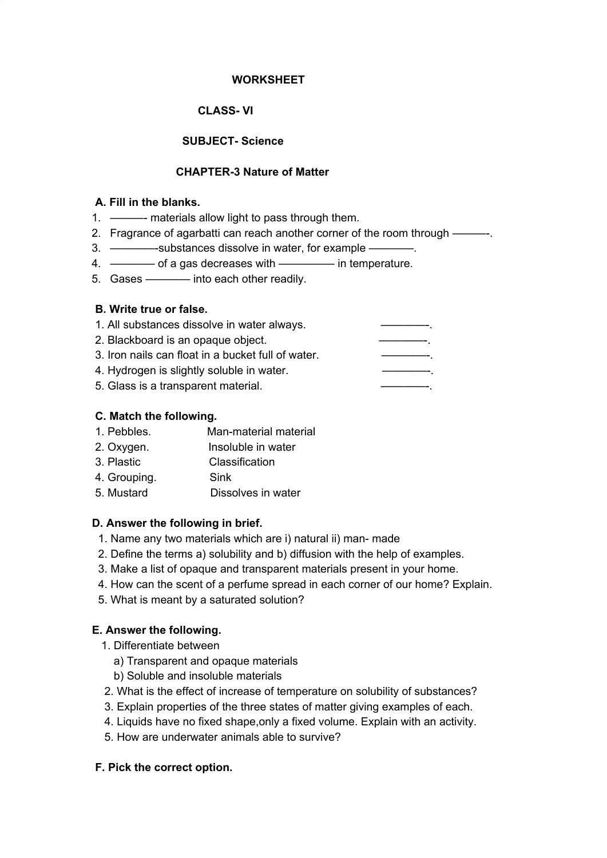### **WORKSHEET**

# **CLASS- VI**

# **SUBJECT- Science**

## **CHAPTER-3 Nature of Matter**

#### **A. Fill in the blanks.**

- 1. ———- materials allow light to pass through them.
- 2. Fragrance of agarbatti can reach another corner of the room through ———-.
- 3. ————-substances dissolve in water, for example ————.
- 4. ———— of a gas decreases with ————— in temperature.
- 5. Gases ———— into each other readily.

### **B. Write true or false.**

| 1. All substances dissolve in water always.        |  |
|----------------------------------------------------|--|
| 2. Blackboard is an opaque object.                 |  |
| 3. Iron nails can float in a bucket full of water. |  |
| 4. Hydrogen is slightly soluble in water.          |  |
| 5. Glass is a transparent material.                |  |

### **C. Match the following.**

- 1. Pebbles. Man-material material
- 2. Oxygen. Insoluble in water
- 3. Plastic Classification
- 4. Grouping. Sink
- 5. Mustard Dissolves in water

## **D. Answer the following in brief.**

- 1. Name any two materials which are i) natural ii) man- made
- 2. Define the terms a) solubility and b) diffusion with the help of examples.
- 3. Make a list of opaque and transparent materials present in your home.
- 4. How can the scent of a perfume spread in each corner of our home? Explain.
- 5. What is meant by a saturated solution?

# **E. Answer the following.**

- 1. Differentiate between
	- a) Transparent and opaque materials
	- b) Soluble and insoluble materials
- 2. What is the effect of increase of temperature on solubility of substances?
- 3. Explain properties of the three states of matter giving examples of each.
- 4. Liquids have no fixed shape,only a fixed volume. Explain with an activity.
- 5. How are underwater animals able to survive?

## **F. Pick the correct option.**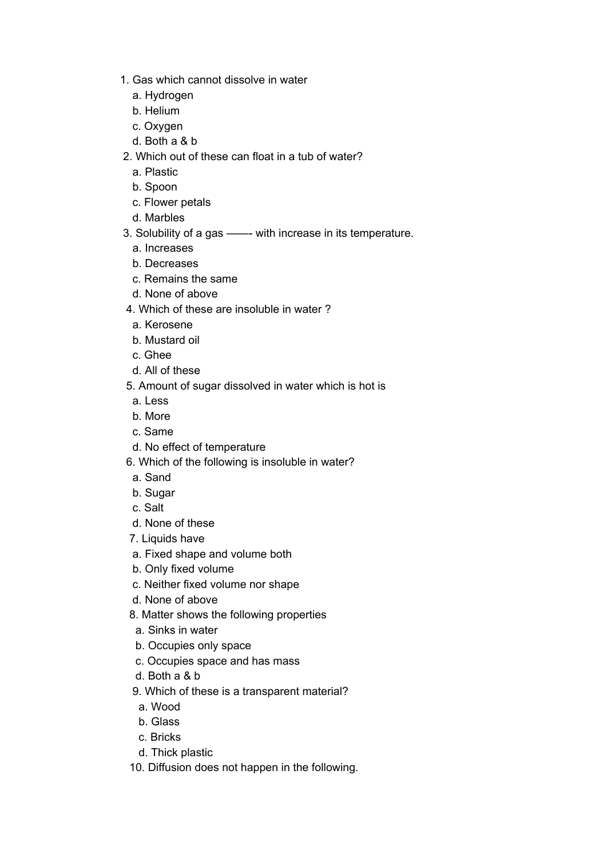- 1. Gas which cannot dissolve in water
	- a. Hydrogen
	- b. Helium
	- c. Oxygen
	- d. Both a & b
- 2. Which out of these can float in a tub of water?
	- a. Plastic
	- b. Spoon
	- c. Flower petals
	- d. Marbles
- 3. Solubility of a gas ——- with increase in its temperature.
	- a. Increases
	- b. Decreases
	- c. Remains the same
	- d. None of above
- 4. Which of these are insoluble in water ?
	- a. Kerosene
	- b. Mustard oil
- c. Ghee
- d. All of these
- 5. Amount of sugar dissolved in water which is hot is
	- a. Less
	- b. More
	- c. Same
- d. No effect of temperature
- 6. Which of the following is insoluble in water?
- a. Sand
- b. Sugar
- c. Salt
- d. None of these
- 7. Liquids have
- a. Fixed shape and volume both
- b. Only fixed volume
- c. Neither fixed volume nor shape
- d. None of above
- 8. Matter shows the following properties
- a. Sinks in water
- b. Occupies only space
- c. Occupies space and has mass
- d. Both a & b
- 9. Which of these is a transparent material?
	- a. Wood
- b. Glass
- c. Bricks
- d. Thick plastic
- 10. Diffusion does not happen in the following.